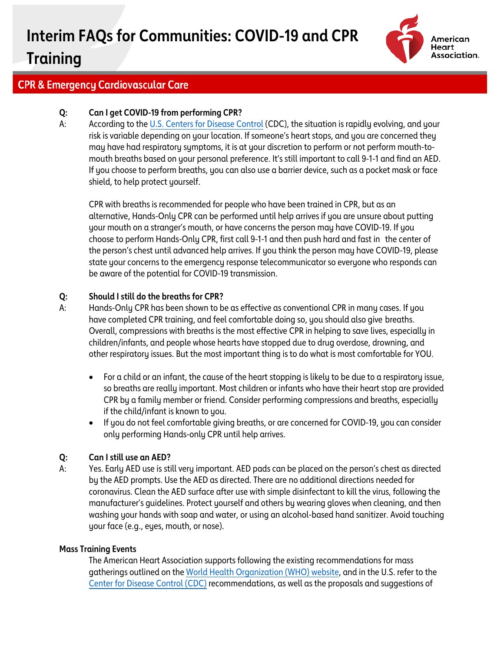# **Interim FAQs for Communities: COVID-19 and CPR Training**



### **CPR & Emergency Cardiovascular Care**

#### **Q: Can I get COVID-19 from performing CPR?**

A: According to the [U.S. Centers for Disease Control](https://www.cdc.gov/coronavirus/2019-nCoV/index.html) (CDC), the situation is rapidly evolving, and your risk is variable depending on your location. If someone's heart stops, and you are concerned they may have had respiratory symptoms, it is at your discretion to perform or not perform mouth-tomouth breaths based on your personal preference. It's still important to call 9-1-1 and find an AED. If you choose to perform breaths, you can also use a barrier device, such as a pocket mask or face shield, to help protect yourself.

CPR with breaths is recommended for people who have been trained in CPR, but as an alternative, Hands-Only CPR can be performed until help arrives if you are unsure about putting your mouth on a stranger's mouth, or have concerns the person may have COVID-19. If you choose to perform Hands-Only CPR, first call 9-1-1 and then push hard and fast in the center of the person's chest until advanced help arrives. If you think the person may have COVID-19, please state your concerns to the emergency response telecommunicator so everyone who responds can be aware of the potential for COVID-19 transmission.

#### **Q: Should I still do the breaths for CPR?**

- A: Hands-Only CPR has been shown to be as effective as conventional CPR in many cases. If you have completed CPR training, and feel comfortable doing so, you should also give breaths. Overall, compressions with breaths is the most effective CPR in helping to save lives, especially in children/infants, and people whose hearts have stopped due to drug overdose, drowning, and other respiratory issues. But the most important thing is to do what is most comfortable for YOU.
	- For a child or an infant, the cause of the heart stopping is likely to be due to a respiratory issue, so breaths are really important. Most children or infants who have their heart stop are provided CPR by a family member or friend. Consider performing compressions and breaths, especially if the child/infant is known to you.
	- If you do not feel comfortable giving breaths, or are concerned for COVID-19, you can consider only performing Hands-only CPR until help arrives.

#### **Q: Can I still use an AED?**

A: Yes. Early AED use is still very important. AED pads can be placed on the person's chest as directed by the AED prompts. Use the AED as directed. There are no additional directions needed for coronavirus. Clean the AED surface after use with simple disinfectant to kill the virus, following the manufacturer's guidelines. Protect yourself and others by wearing gloves when cleaning, and then washing your hands with soap and water, or using an alcohol-based hand sanitizer. Avoid touching your face (e.g., eyes, mouth, or nose).

#### **Mass Training Events**

The American Heart Association supports following the existing recommendations for mass gatherings outlined on th[e World Health Organization \(WHO\) website,](https://www.who.int/emergencies/diseases/novel-coronavirus-2019/advice-for-public) and in the U.S. refer to the [Center for Disease Control \(CDC\)](https://www.cdc.gov/coronavirus/2019-ncov/index.html) recommendations, as well as the proposals and suggestions of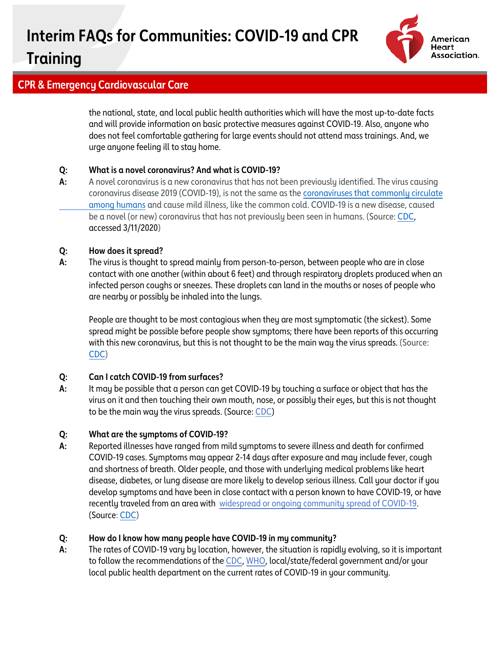# **Interim FAQs for Communities: COVID-19 and CPR**



## **Training**

## **CPR & Emergency Cardiovascular Care**

the national, state, and local public health authorities which will have the most up-to-date facts and will provide information on basic protective measures against COVID-19. Also, anyone who does not feel comfortable gathering for large events should not attend mass trainings. And, we urge anyone feeling ill to stay home.

#### **Q: What is a novel coronavirus? And what is COVID-19?**

**A:** A novel coronavirus is a new coronavirus that has not been previously identified. The virus causing coronavirus disease 2019 (COVID-19), is not the same as the [coronaviruses that commonly circulate](https://www.cdc.gov/coronavirus/types.html) [among humans](https://www.cdc.gov/coronavirus/types.html) and cause mild illness, like the common cold. COVID-19 is a new disease, caused be a novel (or new) coronavirus that has not previously been seen in humans. (Source: [CDC,](https://www.cdc.gov/coronavirus/2019-ncov/faq.html) accessed 3/11/2020)

#### **Q: How does it spread?**

**A:** The virus is thought to spread mainly from person-to-person, between people who are in close contact with one another (within about 6 feet) and through respiratory droplets produced when an infected person coughs or sneezes. These droplets can land in the mouths or noses of people who are nearby or possibly be inhaled into the lungs.

People are thought to be most contagious when they are most symptomatic (the sickest). Some spread might be possible before people show symptoms; there have been reports of this occurring with this new coronavirus, but this is not thought to be the main way the virus spreads. (Source: [CDC\)](https://www.cdc.gov/coronavirus/2019-ncov/about/transmission.html)

#### **Q: Can I catch COVID-19 from surfaces?**

**A:** It may be possible that a person can get COVID-19 by touching a surface or object that has the virus on it and then touching their own mouth, nose, or possibly their eyes, but this is not thought to be the main way the virus spreads. (Source[: CDC\)](https://www.cdc.gov/coronavirus/2019-ncov/about/transmission.html)

#### **Q: What are the symptoms of COVID-19?**

**A:** Reported illnesses have ranged from mild symptoms to severe illness and death for confirmed COVID-19 cases. Symptoms may appear 2-14 days after exposure and may include fever, cough and shortness of breath. Older people, and those with underlying medical problems like heart disease, diabetes, or lung disease are more likely to develop serious illness. Call your doctor if you develop symptoms and have been in close contact with a person known to have COVID-19, or have recently traveled from an area with [widespread or ongoing community spread of COVID-19.](https://www.cdc.gov/coronavirus/2019-ncov/about/transmission.html#geographic) (Source: [CDC\)](https://www.cdc.gov/coronavirus/2019-ncov/about/symptoms.html)

#### **Q: How do I know how many people have COVID-19 in my community?**

**A:** The rates of COVID-19 vary by location, however, the situation is rapidly evolving, so it is important to follow the recommendations of th[e CDC,](https://www.cdc.gov/coronavirus/2019-nCoV/summary.html) [WHO,](https://www.who.int/emergencies/diseases/novel-coronavirus-2019) local/state/federal government and/or your local public health department on the current rates of COVID-19 in your community.